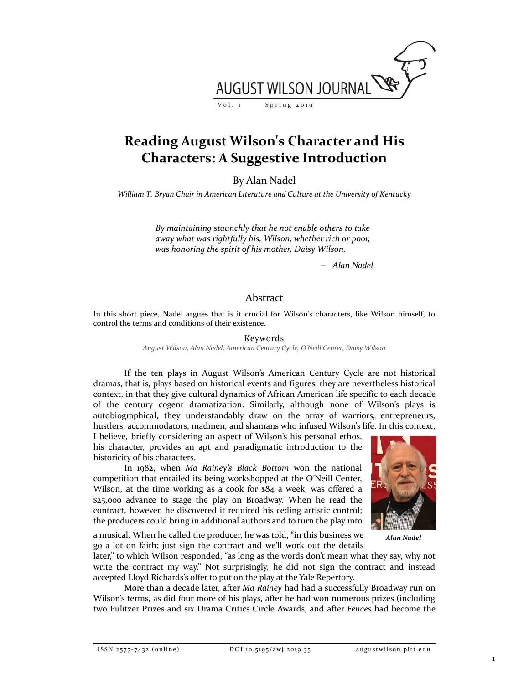

## **Reading August Wilson's Character and His Characters: A Suggestive Introduction**

By Alan Nadel

*William T. Bryan Chair in American Literature and Culture at the University of Kentucky*

*By maintaining staunchly that he not enable others to take away what was rightfully his, Wilson, whether rich or poor, was honoring the spirit of his mother, Daisy Wilson.*

− *Alan Nadel*

## Abstract

In this short piece, Nadel argues that is it crucial for Wilson's characters, like Wilson himself, to control the terms and conditions of their existence.

> Keywords *August Wilson, Alan Nadel, American Century Cycle, O'Neill Center, Daisy Wilson*

If the ten plays in August Wilson's American Century Cycle are not historical dramas, that is, plays based on historical events and figures, they are nevertheless historical context, in that they give cultural dynamics of African American life specific to each decade of the century cogent dramatization. Similarly, although none of Wilson's plays is autobiographical, they understandably draw on the array of warriors, entrepreneurs, hustlers, accommodators, madmen, and shamans who infused Wilson's life. In this context,

I believe, briefly considering an aspect of Wilson's his personal ethos, his character, provides an apt and paradigmatic introduction to the historicity of his characters.

In 1982, when *Ma Rainey's Black Bottom* won the national competition that entailed its being workshopped at the O'Neill Center, Wilson, at the time working as a cook for \$84 a week, was offered a \$25,000 advance to stage the play on Broadway. When he read the contract, however, he discovered it required his ceding artistic control; the producers could bring in additional authors and to turn the play into



a musical. When he called the producer, he was told, "in this business we go a lot on faith; just sign the contract and we'll work out the details

*Alan Nadel*

later," to which Wilson responded, "as long as the words don't mean what they say, why not write the contract my way." Not surprisingly, he did not sign the contract and instead accepted Lloyd Richards's offer to put on the play at the Yale Repertory.

More than a decade later, after *Ma Rainey* had had a successfully Broadway run on Wilson's terms, as did four more of his plays, after he had won numerous prizes (including two Pulitzer Prizes and six Drama Critics Circle Awards, and after *Fences* had become the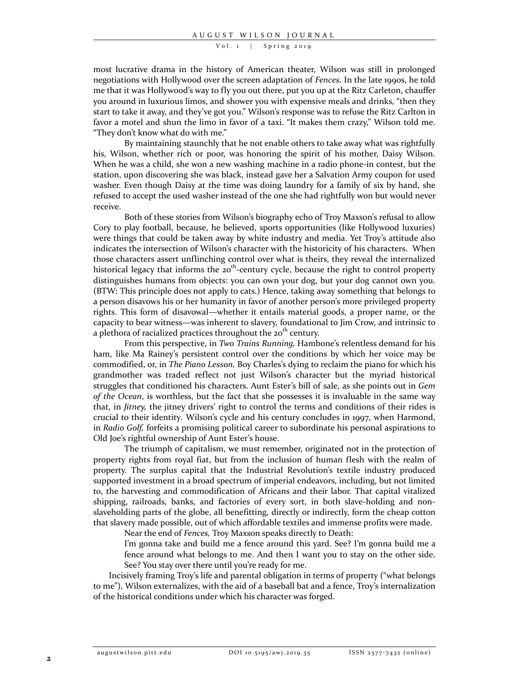Vol. 1 | Spring 2019

most lucrative drama in the history of American theater, Wilson was still in prolonged negotiations with Hollywood over the screen adaptation of *Fences.* In the late 1990s, he told me that it was Hollywood's way to fly you out there, put you up at the Ritz Carleton, chauffer you around in luxurious limos, and shower you with expensive meals and drinks, "then they start to take it away, and they've got you." Wilson's response was to refuse the Ritz Carlton in favor a motel and shun the limo in favor of a taxi. "It makes them crazy," Wilson told me. "They don't know what do with me."

By maintaining staunchly that he not enable others to take away what was rightfully his, Wilson, whether rich or poor, was honoring the spirit of his mother, Daisy Wilson. When he was a child, she won a new washing machine in a radio phone-in contest, but the station, upon discovering she was black, instead gave her a Salvation Army coupon for used washer. Even though Daisy at the time was doing laundry for a family of six by hand, she refused to accept the used washer instead of the one she had rightfully won but would never receive.

Both of these stories from Wilson's biography echo of Troy Maxson's refusal to allow Cory to play football, because, he believed, sports opportunities (like Hollywood luxuries) were things that could be taken away by white industry and media. Yet Troy's attitude also indicates the intersection of Wilson's character with the historicity of his characters. When those characters assert unflinching control over what is theirs, they reveal the internalized historical legacy that informs the  $20^{th}$ -century cycle, because the right to control property distinguishes humans from objects: you can own your dog, but your dog cannot own you. (BTW: This principle does not apply to cats.) Hence, taking away something that belongs to a person disavows his or her humanity in favor of another person's more privileged property rights. This form of disavowal—whether it entails material goods, a proper name, or the capacity to bear witness—was inherent to slavery, foundational to Jim Crow, and intrinsic to a plethora of racialized practices throughout the  $20<sup>th</sup>$  century.

From this perspective, in *Two Trains Running,* Hambone's relentless demand for his ham, like Ma Rainey's persistent control over the conditions by which her voice may be commodified, or, in *The Piano Lesson,* Boy Charles's dying to reclaim the piano for which his grandmother was traded reflect not just Wilson's character but the myriad historical struggles that conditioned his characters. Aunt Ester's bill of sale, as she points out in *Gem of the Ocean*, is worthless, but the fact that she possesses it is invaluable in the same way that, in *Jitney,* the jitney drivers' right to control the terms and conditions of their rides is crucial to their identity*.* Wilson's cycle and his century concludes in 1997, when Harmond, in *Radio Golf,* forfeits a promising political career to subordinate his personal aspirations to Old Joe's rightful ownership of Aunt Ester's house.

The triumph of capitalism, we must remember, originated not in the protection of property rights from royal fiat, but from the inclusion of human flesh with the realm of property. The surplus capital that the Industrial Revolution's textile industry produced supported investment in a broad spectrum of imperial endeavors, including, but not limited to, the harvesting and commodification of Africans and their labor. That capital vitalized shipping, railroads, banks, and factories of every sort, in both slave-holding and nonslaveholding parts of the globe, all benefitting, directly or indirectly, form the cheap cotton that slavery made possible, out of which affordable textiles and immense profits were made.

Near the end of *Fences,* Troy Maxson speaks directly to Death:

I'm gonna take and build me a fence around this yard. See? I'm gonna build me a fence around what belongs to me. And then I want you to stay on the other side. See? You stay over there until you're ready for me.

Incisively framing Troy's life and parental obligation in terms of property ("what belongs to me"), Wilson externalizes, with the aid of a baseball bat and a fence, Troy's internalization of the historical conditions under which his character was forged.